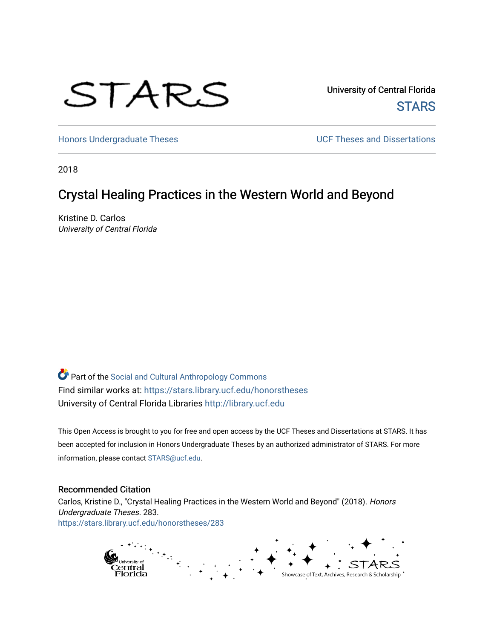# STARS

University of Central Florida **STARS** 

[Honors Undergraduate Theses](https://stars.library.ucf.edu/honorstheses) **Exercise 2018** UCF Theses and Dissertations

2018

# Crystal Healing Practices in the Western World and Beyond

Kristine D. Carlos University of Central Florida

Part of the [Social and Cultural Anthropology Commons](http://network.bepress.com/hgg/discipline/323?utm_source=stars.library.ucf.edu%2Fhonorstheses%2F283&utm_medium=PDF&utm_campaign=PDFCoverPages)  Find similar works at: <https://stars.library.ucf.edu/honorstheses> University of Central Florida Libraries [http://library.ucf.edu](http://library.ucf.edu/) 

This Open Access is brought to you for free and open access by the UCF Theses and Dissertations at STARS. It has been accepted for inclusion in Honors Undergraduate Theses by an authorized administrator of STARS. For more information, please contact [STARS@ucf.edu.](mailto:STARS@ucf.edu)

#### Recommended Citation

Carlos, Kristine D., "Crystal Healing Practices in the Western World and Beyond" (2018). Honors Undergraduate Theses. 283. [https://stars.library.ucf.edu/honorstheses/283](https://stars.library.ucf.edu/honorstheses/283?utm_source=stars.library.ucf.edu%2Fhonorstheses%2F283&utm_medium=PDF&utm_campaign=PDFCoverPages) 

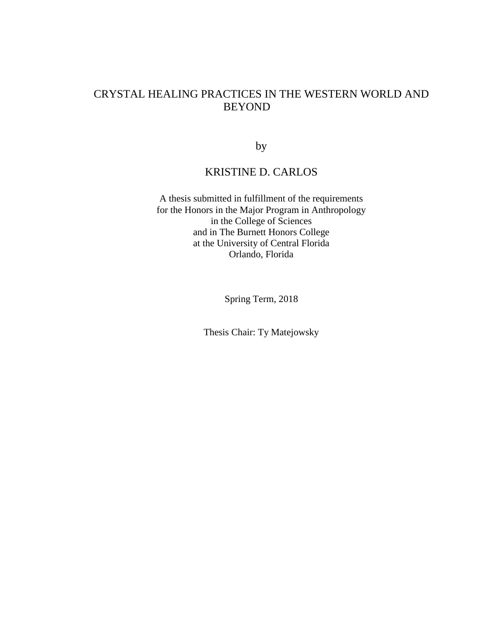## CRYSTAL HEALING PRACTICES IN THE WESTERN WORLD AND BEYOND

by

## KRISTINE D. CARLOS

A thesis submitted in fulfillment of the requirements for the Honors in the Major Program in Anthropology in the College of Sciences and in The Burnett Honors College at the University of Central Florida Orlando, Florida

Spring Term, 2018

Thesis Chair: Ty Matejowsky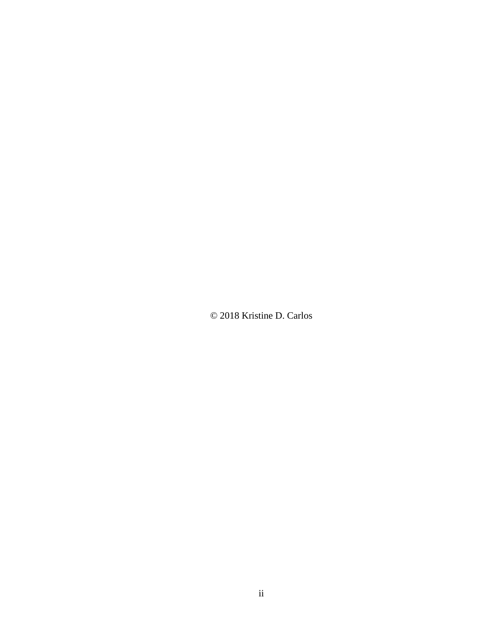© 2018 Kristine D. Carlos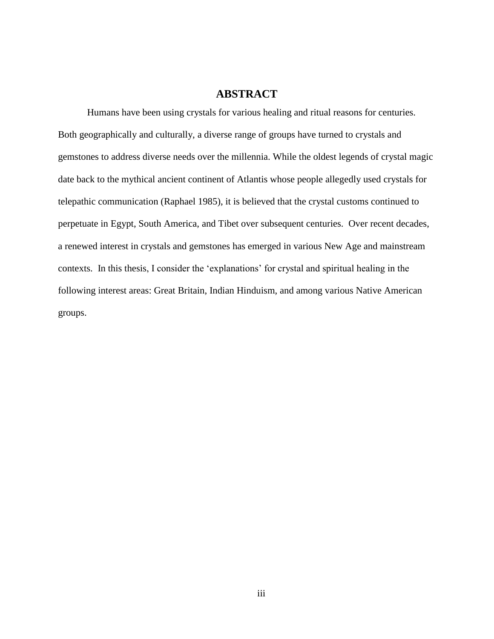## **ABSTRACT**

Humans have been using crystals for various healing and ritual reasons for centuries. Both geographically and culturally, a diverse range of groups have turned to crystals and gemstones to address diverse needs over the millennia. While the oldest legends of crystal magic date back to the mythical ancient continent of Atlantis whose people allegedly used crystals for telepathic communication (Raphael 1985), it is believed that the crystal customs continued to perpetuate in Egypt, South America, and Tibet over subsequent centuries. Over recent decades, a renewed interest in crystals and gemstones has emerged in various New Age and mainstream contexts. In this thesis, I consider the 'explanations' for crystal and spiritual healing in the following interest areas: Great Britain, Indian Hinduism, and among various Native American groups.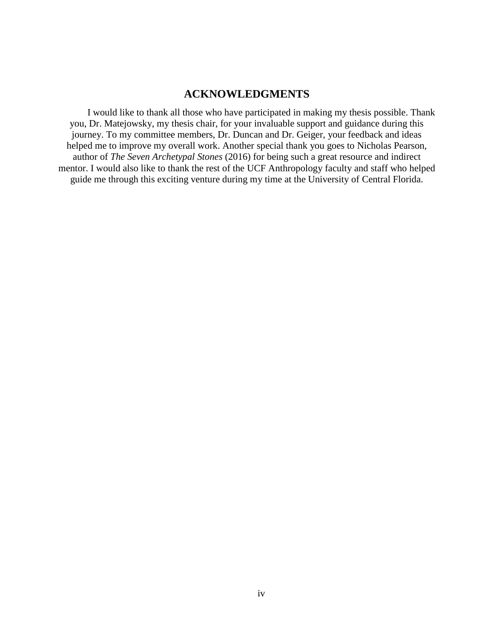## **ACKNOWLEDGMENTS**

I would like to thank all those who have participated in making my thesis possible. Thank you, Dr. Matejowsky, my thesis chair, for your invaluable support and guidance during this journey. To my committee members, Dr. Duncan and Dr. Geiger, your feedback and ideas helped me to improve my overall work. Another special thank you goes to Nicholas Pearson, author of *The Seven Archetypal Stones* (2016) for being such a great resource and indirect mentor. I would also like to thank the rest of the UCF Anthropology faculty and staff who helped guide me through this exciting venture during my time at the University of Central Florida.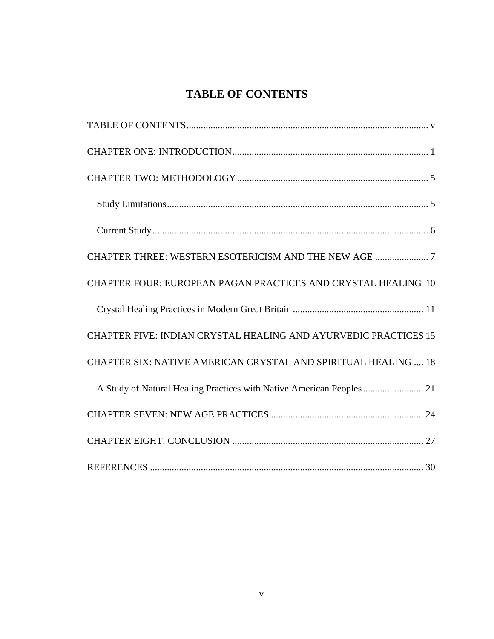# **TABLE OF CONTENTS**

<span id="page-5-0"></span>

| CHAPTER FOUR: EUROPEAN PAGAN PRACTICES AND CRYSTAL HEALING 10         |
|-----------------------------------------------------------------------|
|                                                                       |
| CHAPTER FIVE: INDIAN CRYSTAL HEALING AND AYURVEDIC PRACTICES 15       |
| CHAPTER SIX: NATIVE AMERICAN CRYSTAL AND SPIRITUAL HEALING  18        |
| A Study of Natural Healing Practices with Native American Peoples  21 |
|                                                                       |
|                                                                       |
|                                                                       |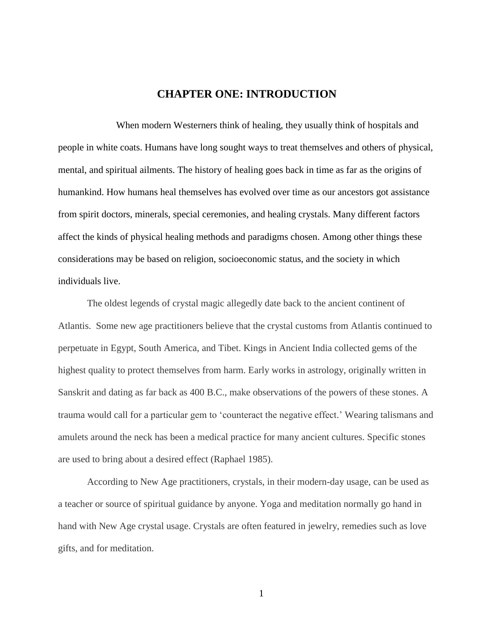## **CHAPTER ONE: INTRODUCTION**

<span id="page-6-0"></span>When modern Westerners think of healing, they usually think of hospitals and people in white coats. Humans have long sought ways to treat themselves and others of physical, mental, and spiritual ailments. The history of healing goes back in time as far as the origins of humankind. How humans heal themselves has evolved over time as our ancestors got assistance from spirit doctors, minerals, special ceremonies, and healing crystals. Many different factors affect the kinds of physical healing methods and paradigms chosen. Among other things these considerations may be based on religion, socioeconomic status, and the society in which individuals live.

The oldest legends of crystal magic allegedly date back to the ancient continent of Atlantis. Some new age practitioners believe that the crystal customs from Atlantis continued to perpetuate in Egypt, South America, and Tibet. Kings in Ancient India collected gems of the highest quality to protect themselves from harm. Early works in astrology, originally written in Sanskrit and dating as far back as 400 B.C., make observations of the powers of these stones. A trauma would call for a particular gem to 'counteract the negative effect.' Wearing talismans and amulets around the neck has been a medical practice for many ancient cultures. Specific stones are used to bring about a desired effect (Raphael 1985).

According to New Age practitioners, crystals, in their modern-day usage, can be used as a teacher or source of spiritual guidance by anyone. Yoga and meditation normally go hand in hand with New Age crystal usage. Crystals are often featured in jewelry, remedies such as love gifts, and for meditation.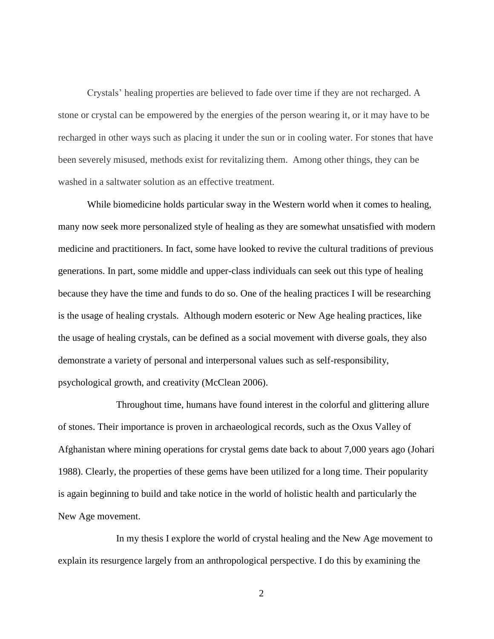Crystals' healing properties are believed to fade over time if they are not recharged. A stone or crystal can be empowered by the energies of the person wearing it, or it may have to be recharged in other ways such as placing it under the sun or in cooling water. For stones that have been severely misused, methods exist for revitalizing them. Among other things, they can be washed in a saltwater solution as an effective treatment.

While biomedicine holds particular sway in the Western world when it comes to healing, many now seek more personalized style of healing as they are somewhat unsatisfied with modern medicine and practitioners. In fact, some have looked to revive the cultural traditions of previous generations. In part, some middle and upper-class individuals can seek out this type of healing because they have the time and funds to do so. One of the healing practices I will be researching is the usage of healing crystals. Although modern esoteric or New Age healing practices, like the usage of healing crystals, can be defined as a social movement with diverse goals, they also demonstrate a variety of personal and interpersonal values such as self-responsibility, psychological growth, and creativity (McClean 2006).

Throughout time, humans have found interest in the colorful and glittering allure of stones. Their importance is proven in archaeological records, such as the Oxus Valley of Afghanistan where mining operations for crystal gems date back to about 7,000 years ago (Johari 1988). Clearly, the properties of these gems have been utilized for a long time. Their popularity is again beginning to build and take notice in the world of holistic health and particularly the New Age movement.

In my thesis I explore the world of crystal healing and the New Age movement to explain its resurgence largely from an anthropological perspective. I do this by examining the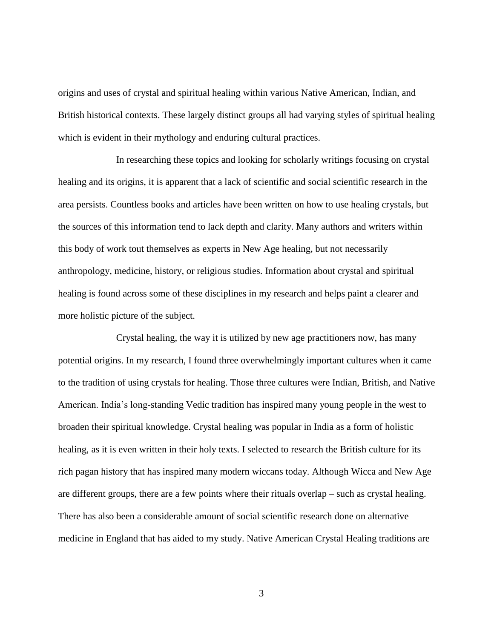origins and uses of crystal and spiritual healing within various Native American, Indian, and British historical contexts. These largely distinct groups all had varying styles of spiritual healing which is evident in their mythology and enduring cultural practices.

In researching these topics and looking for scholarly writings focusing on crystal healing and its origins, it is apparent that a lack of scientific and social scientific research in the area persists. Countless books and articles have been written on how to use healing crystals, but the sources of this information tend to lack depth and clarity. Many authors and writers within this body of work tout themselves as experts in New Age healing, but not necessarily anthropology, medicine, history, or religious studies. Information about crystal and spiritual healing is found across some of these disciplines in my research and helps paint a clearer and more holistic picture of the subject.

Crystal healing, the way it is utilized by new age practitioners now, has many potential origins. In my research, I found three overwhelmingly important cultures when it came to the tradition of using crystals for healing. Those three cultures were Indian, British, and Native American. India's long-standing Vedic tradition has inspired many young people in the west to broaden their spiritual knowledge. Crystal healing was popular in India as a form of holistic healing, as it is even written in their holy texts. I selected to research the British culture for its rich pagan history that has inspired many modern wiccans today. Although Wicca and New Age are different groups, there are a few points where their rituals overlap – such as crystal healing. There has also been a considerable amount of social scientific research done on alternative medicine in England that has aided to my study. Native American Crystal Healing traditions are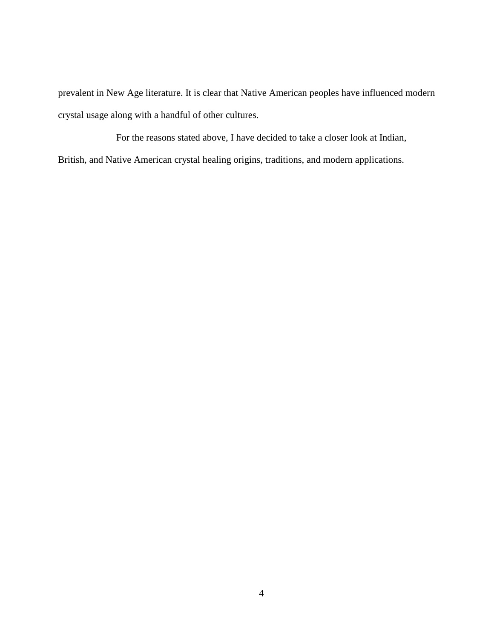prevalent in New Age literature. It is clear that Native American peoples have influenced modern crystal usage along with a handful of other cultures.

For the reasons stated above, I have decided to take a closer look at Indian, British, and Native American crystal healing origins, traditions, and modern applications.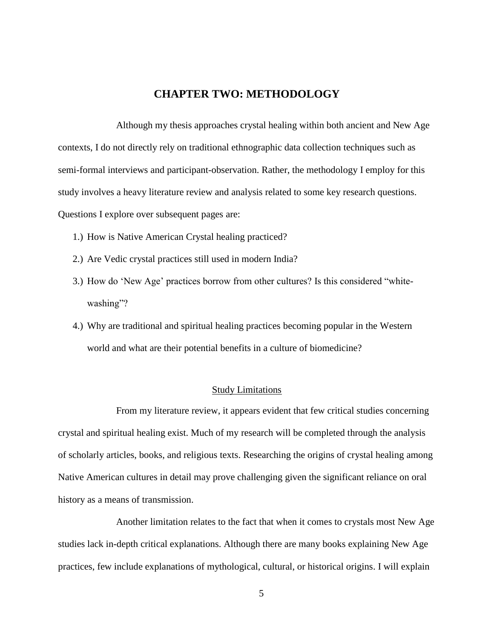## **CHAPTER TWO: METHODOLOGY**

<span id="page-10-0"></span>Although my thesis approaches crystal healing within both ancient and New Age contexts, I do not directly rely on traditional ethnographic data collection techniques such as semi-formal interviews and participant-observation. Rather, the methodology I employ for this study involves a heavy literature review and analysis related to some key research questions. Questions I explore over subsequent pages are:

- 1.) How is Native American Crystal healing practiced?
- 2.) Are Vedic crystal practices still used in modern India?
- 3.) How do 'New Age' practices borrow from other cultures? Is this considered "whitewashing"?
- 4.) Why are traditional and spiritual healing practices becoming popular in the Western world and what are their potential benefits in a culture of biomedicine?

#### Study Limitations

<span id="page-10-1"></span>From my literature review, it appears evident that few critical studies concerning crystal and spiritual healing exist. Much of my research will be completed through the analysis of scholarly articles, books, and religious texts. Researching the origins of crystal healing among Native American cultures in detail may prove challenging given the significant reliance on oral history as a means of transmission.

Another limitation relates to the fact that when it comes to crystals most New Age studies lack in-depth critical explanations. Although there are many books explaining New Age practices, few include explanations of mythological, cultural, or historical origins. I will explain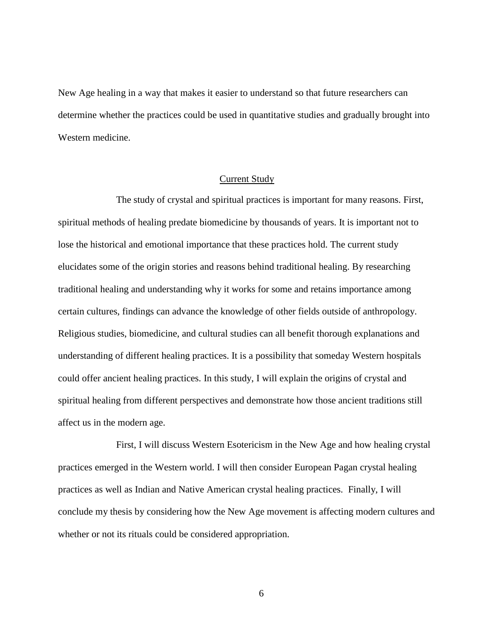New Age healing in a way that makes it easier to understand so that future researchers can determine whether the practices could be used in quantitative studies and gradually brought into Western medicine.

#### Current Study

<span id="page-11-0"></span>The study of crystal and spiritual practices is important for many reasons. First, spiritual methods of healing predate biomedicine by thousands of years. It is important not to lose the historical and emotional importance that these practices hold. The current study elucidates some of the origin stories and reasons behind traditional healing. By researching traditional healing and understanding why it works for some and retains importance among certain cultures, findings can advance the knowledge of other fields outside of anthropology. Religious studies, biomedicine, and cultural studies can all benefit thorough explanations and understanding of different healing practices. It is a possibility that someday Western hospitals could offer ancient healing practices. In this study, I will explain the origins of crystal and spiritual healing from different perspectives and demonstrate how those ancient traditions still affect us in the modern age.

First, I will discuss Western Esotericism in the New Age and how healing crystal practices emerged in the Western world. I will then consider European Pagan crystal healing practices as well as Indian and Native American crystal healing practices. Finally, I will conclude my thesis by considering how the New Age movement is affecting modern cultures and whether or not its rituals could be considered appropriation.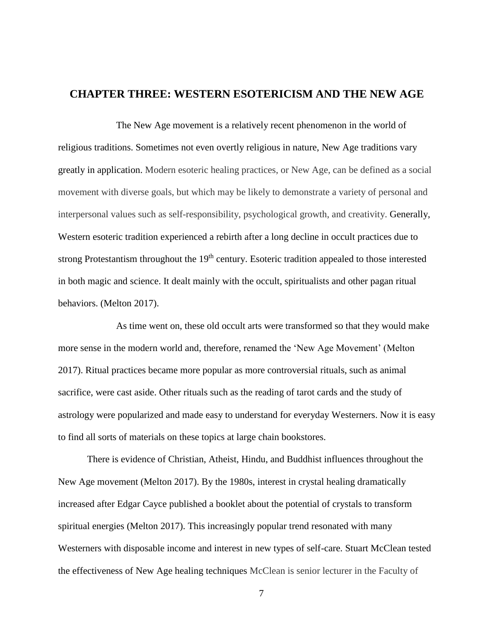## <span id="page-12-0"></span>**CHAPTER THREE: WESTERN ESOTERICISM AND THE NEW AGE**

The New Age movement is a relatively recent phenomenon in the world of religious traditions. Sometimes not even overtly religious in nature, New Age traditions vary greatly in application. Modern esoteric healing practices, or New Age, can be defined as a social movement with diverse goals, but which may be likely to demonstrate a variety of personal and interpersonal values such as self-responsibility, psychological growth, and creativity. Generally, Western esoteric tradition experienced a rebirth after a long decline in occult practices due to strong Protestantism throughout the 19<sup>th</sup> century. Esoteric tradition appealed to those interested in both magic and science. It dealt mainly with the occult, spiritualists and other pagan ritual behaviors. (Melton 2017).

As time went on, these old occult arts were transformed so that they would make more sense in the modern world and, therefore, renamed the 'New Age Movement' (Melton 2017). Ritual practices became more popular as more controversial rituals, such as animal sacrifice, were cast aside. Other rituals such as the reading of tarot cards and the study of astrology were popularized and made easy to understand for everyday Westerners. Now it is easy to find all sorts of materials on these topics at large chain bookstores.

There is evidence of Christian, Atheist, Hindu, and Buddhist influences throughout the New Age movement (Melton 2017). By the 1980s, interest in crystal healing dramatically increased after Edgar Cayce published a booklet about the potential of crystals to transform spiritual energies (Melton 2017). This increasingly popular trend resonated with many Westerners with disposable income and interest in new types of self-care. Stuart McClean tested the effectiveness of New Age healing techniques McClean is senior lecturer in the Faculty of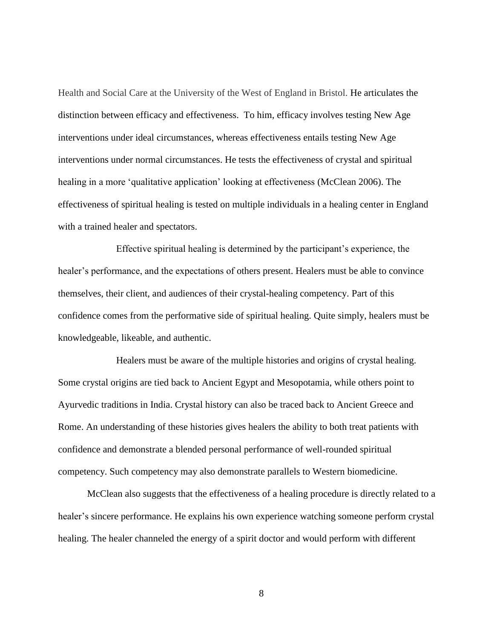Health and Social Care at the University of the West of England in Bristol. He articulates the distinction between efficacy and effectiveness. To him, efficacy involves testing New Age interventions under ideal circumstances, whereas effectiveness entails testing New Age interventions under normal circumstances. He tests the effectiveness of crystal and spiritual healing in a more 'qualitative application' looking at effectiveness (McClean 2006). The effectiveness of spiritual healing is tested on multiple individuals in a healing center in England with a trained healer and spectators.

Effective spiritual healing is determined by the participant's experience, the healer's performance, and the expectations of others present. Healers must be able to convince themselves, their client, and audiences of their crystal-healing competency. Part of this confidence comes from the performative side of spiritual healing. Quite simply, healers must be knowledgeable, likeable, and authentic.

Healers must be aware of the multiple histories and origins of crystal healing. Some crystal origins are tied back to Ancient Egypt and Mesopotamia, while others point to Ayurvedic traditions in India. Crystal history can also be traced back to Ancient Greece and Rome. An understanding of these histories gives healers the ability to both treat patients with confidence and demonstrate a blended personal performance of well-rounded spiritual competency. Such competency may also demonstrate parallels to Western biomedicine.

McClean also suggests that the effectiveness of a healing procedure is directly related to a healer's sincere performance. He explains his own experience watching someone perform crystal healing. The healer channeled the energy of a spirit doctor and would perform with different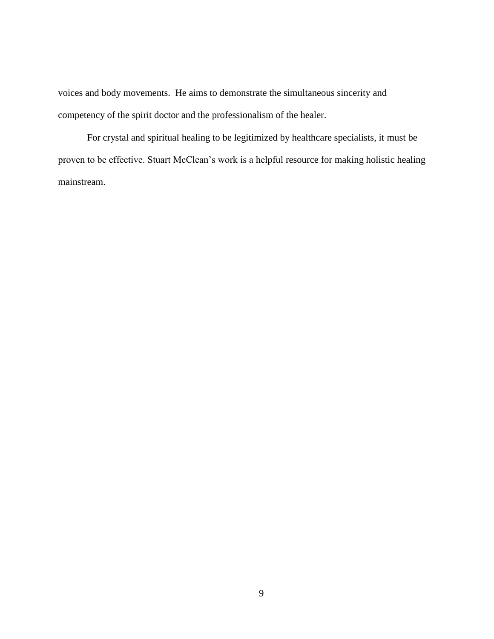voices and body movements. He aims to demonstrate the simultaneous sincerity and competency of the spirit doctor and the professionalism of the healer.

For crystal and spiritual healing to be legitimized by healthcare specialists, it must be proven to be effective. Stuart McClean's work is a helpful resource for making holistic healing mainstream.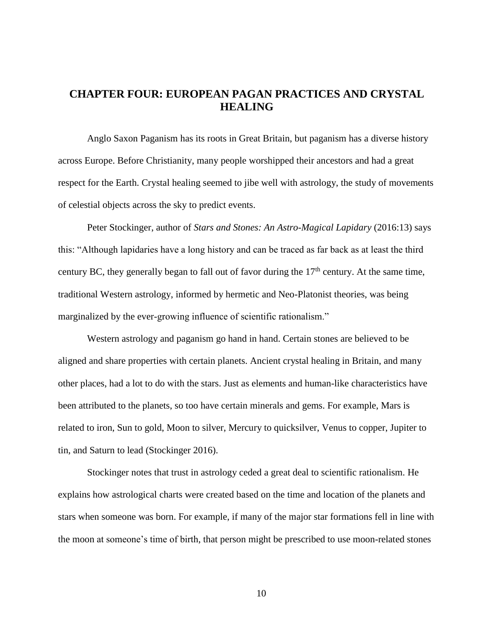# <span id="page-15-0"></span>**CHAPTER FOUR: EUROPEAN PAGAN PRACTICES AND CRYSTAL HEALING**

Anglo Saxon Paganism has its roots in Great Britain, but paganism has a diverse history across Europe. Before Christianity, many people worshipped their ancestors and had a great respect for the Earth. Crystal healing seemed to jibe well with astrology, the study of movements of celestial objects across the sky to predict events.

Peter Stockinger, author of *Stars and Stones: An Astro-Magical Lapidary* (2016:13) says this: "Although lapidaries have a long history and can be traced as far back as at least the third century BC, they generally began to fall out of favor during the  $17<sup>th</sup>$  century. At the same time, traditional Western astrology, informed by hermetic and Neo-Platonist theories, was being marginalized by the ever-growing influence of scientific rationalism."

Western astrology and paganism go hand in hand. Certain stones are believed to be aligned and share properties with certain planets. Ancient crystal healing in Britain, and many other places, had a lot to do with the stars. Just as elements and human-like characteristics have been attributed to the planets, so too have certain minerals and gems. For example, Mars is related to iron, Sun to gold, Moon to silver, Mercury to quicksilver, Venus to copper, Jupiter to tin, and Saturn to lead (Stockinger 2016).

Stockinger notes that trust in astrology ceded a great deal to scientific rationalism. He explains how astrological charts were created based on the time and location of the planets and stars when someone was born. For example, if many of the major star formations fell in line with the moon at someone's time of birth, that person might be prescribed to use moon-related stones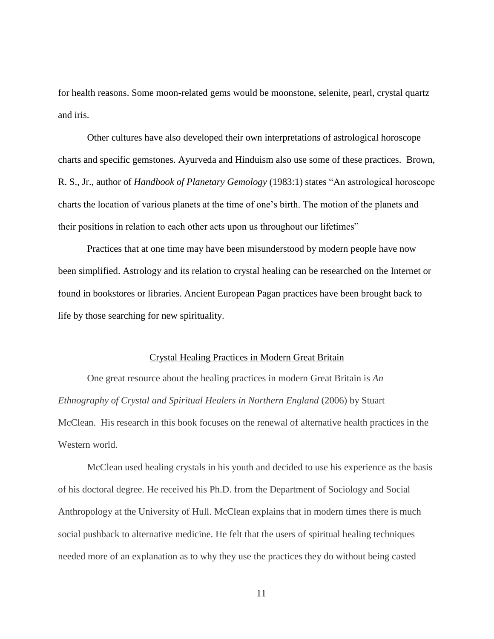for health reasons. Some moon-related gems would be moonstone, selenite, pearl, crystal quartz and iris.

Other cultures have also developed their own interpretations of astrological horoscope charts and specific gemstones. Ayurveda and Hinduism also use some of these practices. Brown, R. S., Jr., author of *Handbook of Planetary Gemology* (1983:1) states "An astrological horoscope charts the location of various planets at the time of one's birth. The motion of the planets and their positions in relation to each other acts upon us throughout our lifetimes"

Practices that at one time may have been misunderstood by modern people have now been simplified. Astrology and its relation to crystal healing can be researched on the Internet or found in bookstores or libraries. Ancient European Pagan practices have been brought back to life by those searching for new spirituality.

#### Crystal Healing Practices in Modern Great Britain

<span id="page-16-0"></span>One great resource about the healing practices in modern Great Britain is *An Ethnography of Crystal and Spiritual Healers in Northern England* (2006) by Stuart McClean. His research in this book focuses on the renewal of alternative health practices in the Western world.

McClean used healing crystals in his youth and decided to use his experience as the basis of his doctoral degree. He received his Ph.D. from the Department of Sociology and Social Anthropology at the University of Hull. McClean explains that in modern times there is much social pushback to alternative medicine. He felt that the users of spiritual healing techniques needed more of an explanation as to why they use the practices they do without being casted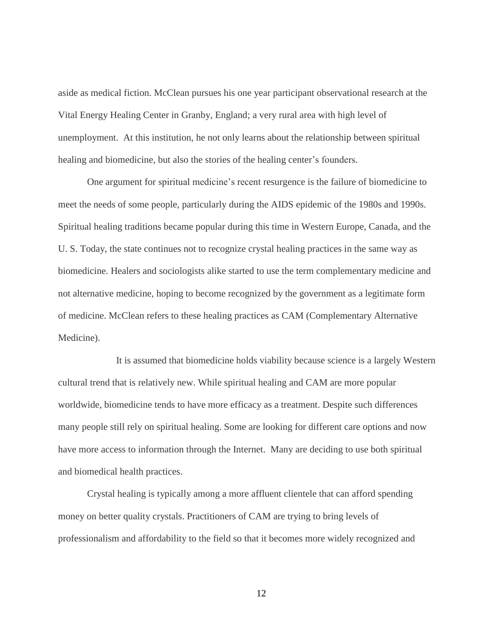aside as medical fiction. McClean pursues his one year participant observational research at the Vital Energy Healing Center in Granby, England; a very rural area with high level of unemployment. At this institution, he not only learns about the relationship between spiritual healing and biomedicine, but also the stories of the healing center's founders.

One argument for spiritual medicine's recent resurgence is the failure of biomedicine to meet the needs of some people, particularly during the AIDS epidemic of the 1980s and 1990s. Spiritual healing traditions became popular during this time in Western Europe, Canada, and the U. S. Today, the state continues not to recognize crystal healing practices in the same way as biomedicine. Healers and sociologists alike started to use the term complementary medicine and not alternative medicine, hoping to become recognized by the government as a legitimate form of medicine. McClean refers to these healing practices as CAM (Complementary Alternative Medicine).

It is assumed that biomedicine holds viability because science is a largely Western cultural trend that is relatively new. While spiritual healing and CAM are more popular worldwide, biomedicine tends to have more efficacy as a treatment. Despite such differences many people still rely on spiritual healing. Some are looking for different care options and now have more access to information through the Internet. Many are deciding to use both spiritual and biomedical health practices.

Crystal healing is typically among a more affluent clientele that can afford spending money on better quality crystals. Practitioners of CAM are trying to bring levels of professionalism and affordability to the field so that it becomes more widely recognized and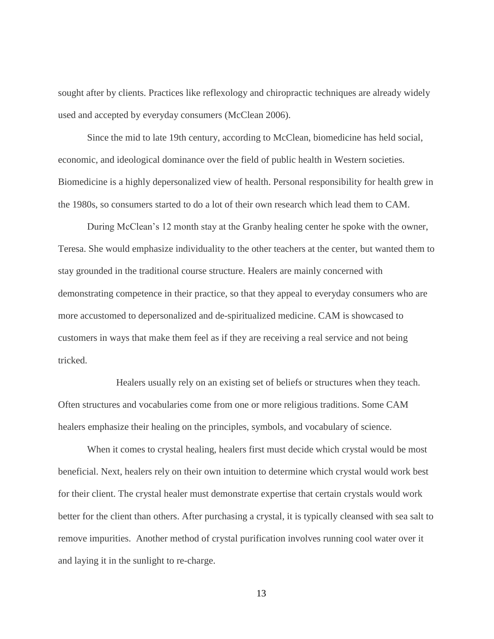sought after by clients. Practices like reflexology and chiropractic techniques are already widely used and accepted by everyday consumers (McClean 2006).

Since the mid to late 19th century, according to McClean, biomedicine has held social, economic, and ideological dominance over the field of public health in Western societies. Biomedicine is a highly depersonalized view of health. Personal responsibility for health grew in the 1980s, so consumers started to do a lot of their own research which lead them to CAM.

During McClean's 12 month stay at the Granby healing center he spoke with the owner, Teresa. She would emphasize individuality to the other teachers at the center, but wanted them to stay grounded in the traditional course structure. Healers are mainly concerned with demonstrating competence in their practice, so that they appeal to everyday consumers who are more accustomed to depersonalized and de-spiritualized medicine. CAM is showcased to customers in ways that make them feel as if they are receiving a real service and not being tricked.

Healers usually rely on an existing set of beliefs or structures when they teach. Often structures and vocabularies come from one or more religious traditions. Some CAM healers emphasize their healing on the principles, symbols, and vocabulary of science.

When it comes to crystal healing, healers first must decide which crystal would be most beneficial. Next, healers rely on their own intuition to determine which crystal would work best for their client. The crystal healer must demonstrate expertise that certain crystals would work better for the client than others. After purchasing a crystal, it is typically cleansed with sea salt to remove impurities. Another method of crystal purification involves running cool water over it and laying it in the sunlight to re-charge.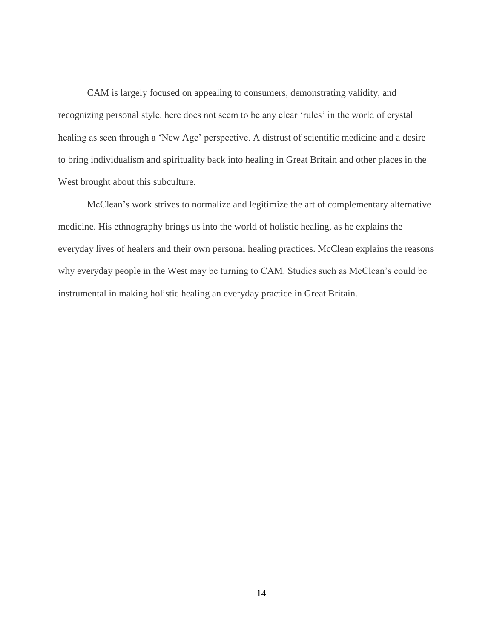CAM is largely focused on appealing to consumers, demonstrating validity, and recognizing personal style. here does not seem to be any clear 'rules' in the world of crystal healing as seen through a 'New Age' perspective. A distrust of scientific medicine and a desire to bring individualism and spirituality back into healing in Great Britain and other places in the West brought about this subculture.

McClean's work strives to normalize and legitimize the art of complementary alternative medicine. His ethnography brings us into the world of holistic healing, as he explains the everyday lives of healers and their own personal healing practices. McClean explains the reasons why everyday people in the West may be turning to CAM. Studies such as McClean's could be instrumental in making holistic healing an everyday practice in Great Britain.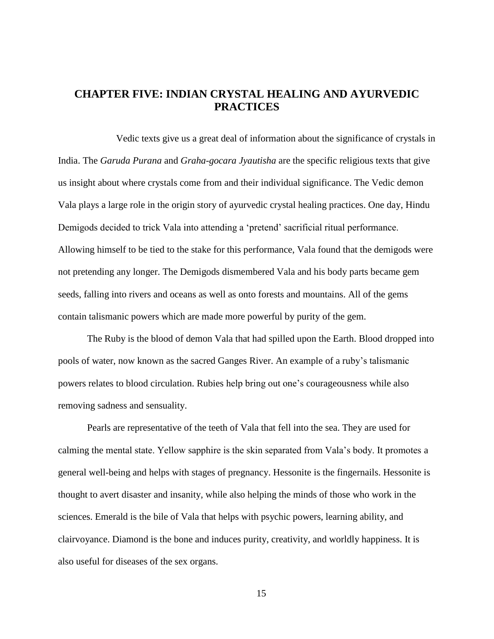# <span id="page-20-0"></span>**CHAPTER FIVE: INDIAN CRYSTAL HEALING AND AYURVEDIC PRACTICES**

Vedic texts give us a great deal of information about the significance of crystals in India. The *Garuda Purana* and *Graha-gocara Jyautisha* are the specific religious texts that give us insight about where crystals come from and their individual significance. The Vedic demon Vala plays a large role in the origin story of ayurvedic crystal healing practices. One day, Hindu Demigods decided to trick Vala into attending a 'pretend' sacrificial ritual performance. Allowing himself to be tied to the stake for this performance, Vala found that the demigods were not pretending any longer. The Demigods dismembered Vala and his body parts became gem seeds, falling into rivers and oceans as well as onto forests and mountains. All of the gems contain talismanic powers which are made more powerful by purity of the gem.

The Ruby is the blood of demon Vala that had spilled upon the Earth. Blood dropped into pools of water, now known as the sacred Ganges River. An example of a ruby's talismanic powers relates to blood circulation. Rubies help bring out one's courageousness while also removing sadness and sensuality.

Pearls are representative of the teeth of Vala that fell into the sea. They are used for calming the mental state. Yellow sapphire is the skin separated from Vala's body. It promotes a general well-being and helps with stages of pregnancy. Hessonite is the fingernails. Hessonite is thought to avert disaster and insanity, while also helping the minds of those who work in the sciences. Emerald is the bile of Vala that helps with psychic powers, learning ability, and clairvoyance. Diamond is the bone and induces purity, creativity, and worldly happiness. It is also useful for diseases of the sex organs.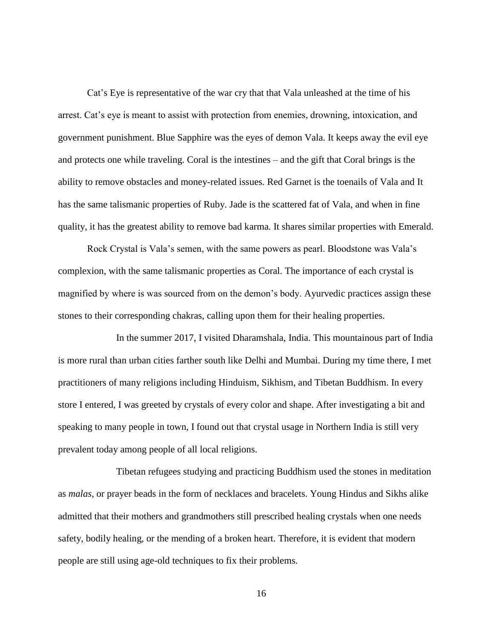Cat's Eye is representative of the war cry that that Vala unleashed at the time of his arrest. Cat's eye is meant to assist with protection from enemies, drowning, intoxication, and government punishment. Blue Sapphire was the eyes of demon Vala. It keeps away the evil eye and protects one while traveling. Coral is the intestines – and the gift that Coral brings is the ability to remove obstacles and money-related issues. Red Garnet is the toenails of Vala and It has the same talismanic properties of Ruby. Jade is the scattered fat of Vala, and when in fine quality, it has the greatest ability to remove bad karma. It shares similar properties with Emerald.

Rock Crystal is Vala's semen, with the same powers as pearl. Bloodstone was Vala's complexion, with the same talismanic properties as Coral. The importance of each crystal is magnified by where is was sourced from on the demon's body. Ayurvedic practices assign these stones to their corresponding chakras, calling upon them for their healing properties.

In the summer 2017, I visited Dharamshala, India. This mountainous part of India is more rural than urban cities farther south like Delhi and Mumbai. During my time there, I met practitioners of many religions including Hinduism, Sikhism, and Tibetan Buddhism. In every store I entered, I was greeted by crystals of every color and shape. After investigating a bit and speaking to many people in town, I found out that crystal usage in Northern India is still very prevalent today among people of all local religions.

Tibetan refugees studying and practicing Buddhism used the stones in meditation as *malas*, or prayer beads in the form of necklaces and bracelets. Young Hindus and Sikhs alike admitted that their mothers and grandmothers still prescribed healing crystals when one needs safety, bodily healing, or the mending of a broken heart. Therefore, it is evident that modern people are still using age-old techniques to fix their problems.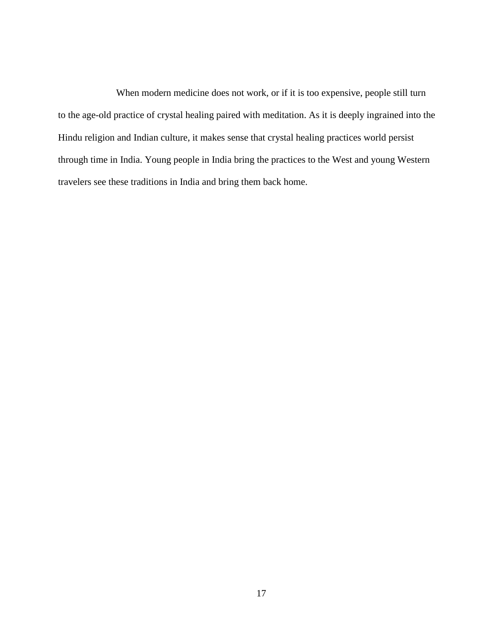When modern medicine does not work, or if it is too expensive, people still turn to the age-old practice of crystal healing paired with meditation. As it is deeply ingrained into the Hindu religion and Indian culture, it makes sense that crystal healing practices world persist through time in India. Young people in India bring the practices to the West and young Western travelers see these traditions in India and bring them back home.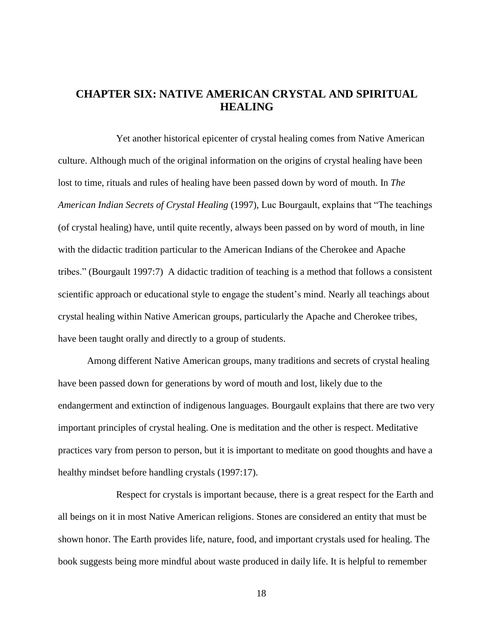# <span id="page-23-0"></span>**CHAPTER SIX: NATIVE AMERICAN CRYSTAL AND SPIRITUAL HEALING**

Yet another historical epicenter of crystal healing comes from Native American culture. Although much of the original information on the origins of crystal healing have been lost to time, rituals and rules of healing have been passed down by word of mouth. In *The American Indian Secrets of Crystal Healing* (1997), Luc Bourgault, explains that "The teachings (of crystal healing) have, until quite recently, always been passed on by word of mouth, in line with the didactic tradition particular to the American Indians of the Cherokee and Apache tribes." (Bourgault 1997:7) A didactic tradition of teaching is a method that follows a consistent scientific approach or educational style to engage the student's mind. Nearly all teachings about crystal healing within Native American groups, particularly the Apache and Cherokee tribes, have been taught orally and directly to a group of students.

Among different Native American groups, many traditions and secrets of crystal healing have been passed down for generations by word of mouth and lost, likely due to the endangerment and extinction of indigenous languages. Bourgault explains that there are two very important principles of crystal healing. One is meditation and the other is respect. Meditative practices vary from person to person, but it is important to meditate on good thoughts and have a healthy mindset before handling crystals (1997:17).

Respect for crystals is important because, there is a great respect for the Earth and all beings on it in most Native American religions. Stones are considered an entity that must be shown honor. The Earth provides life, nature, food, and important crystals used for healing. The book suggests being more mindful about waste produced in daily life. It is helpful to remember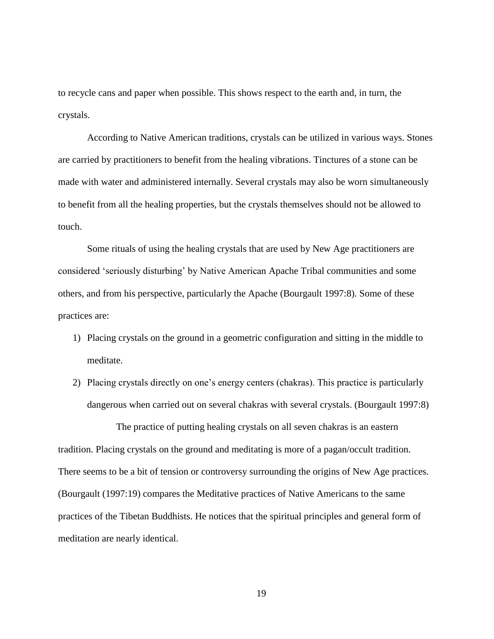to recycle cans and paper when possible. This shows respect to the earth and, in turn, the crystals.

According to Native American traditions, crystals can be utilized in various ways. Stones are carried by practitioners to benefit from the healing vibrations. Tinctures of a stone can be made with water and administered internally. Several crystals may also be worn simultaneously to benefit from all the healing properties, but the crystals themselves should not be allowed to touch.

Some rituals of using the healing crystals that are used by New Age practitioners are considered 'seriously disturbing' by Native American Apache Tribal communities and some others, and from his perspective, particularly the Apache (Bourgault 1997:8). Some of these practices are:

- 1) Placing crystals on the ground in a geometric configuration and sitting in the middle to meditate.
- 2) Placing crystals directly on one's energy centers (chakras). This practice is particularly dangerous when carried out on several chakras with several crystals. (Bourgault 1997:8)

The practice of putting healing crystals on all seven chakras is an eastern tradition. Placing crystals on the ground and meditating is more of a pagan/occult tradition. There seems to be a bit of tension or controversy surrounding the origins of New Age practices. (Bourgault (1997:19) compares the Meditative practices of Native Americans to the same practices of the Tibetan Buddhists. He notices that the spiritual principles and general form of meditation are nearly identical.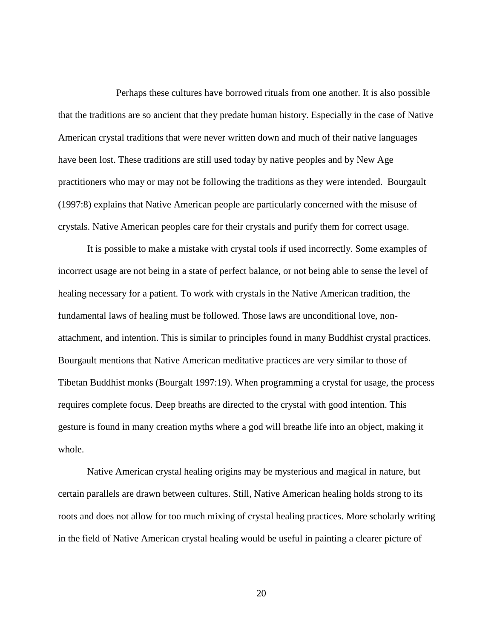Perhaps these cultures have borrowed rituals from one another. It is also possible that the traditions are so ancient that they predate human history. Especially in the case of Native American crystal traditions that were never written down and much of their native languages have been lost. These traditions are still used today by native peoples and by New Age practitioners who may or may not be following the traditions as they were intended. Bourgault (1997:8) explains that Native American people are particularly concerned with the misuse of crystals. Native American peoples care for their crystals and purify them for correct usage.

It is possible to make a mistake with crystal tools if used incorrectly. Some examples of incorrect usage are not being in a state of perfect balance, or not being able to sense the level of healing necessary for a patient. To work with crystals in the Native American tradition, the fundamental laws of healing must be followed. Those laws are unconditional love, nonattachment, and intention. This is similar to principles found in many Buddhist crystal practices. Bourgault mentions that Native American meditative practices are very similar to those of Tibetan Buddhist monks (Bourgalt 1997:19). When programming a crystal for usage, the process requires complete focus. Deep breaths are directed to the crystal with good intention. This gesture is found in many creation myths where a god will breathe life into an object, making it whole.

Native American crystal healing origins may be mysterious and magical in nature, but certain parallels are drawn between cultures. Still, Native American healing holds strong to its roots and does not allow for too much mixing of crystal healing practices. More scholarly writing in the field of Native American crystal healing would be useful in painting a clearer picture of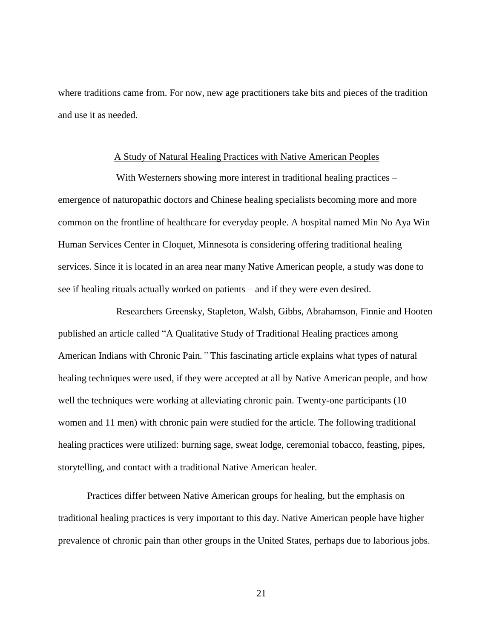where traditions came from. For now, new age practitioners take bits and pieces of the tradition and use it as needed.

#### A Study of Natural Healing Practices with Native American Peoples

<span id="page-26-0"></span>With Westerners showing more interest in traditional healing practices – emergence of naturopathic doctors and Chinese healing specialists becoming more and more common on the frontline of healthcare for everyday people. A hospital named Min No Aya Win Human Services Center in Cloquet, Minnesota is considering offering traditional healing services. Since it is located in an area near many Native American people, a study was done to see if healing rituals actually worked on patients – and if they were even desired.

Researchers Greensky, Stapleton, Walsh, Gibbs, Abrahamson, Finnie and Hooten published an article called "A Qualitative Study of Traditional Healing practices among American Indians with Chronic Pain*."* This fascinating article explains what types of natural healing techniques were used, if they were accepted at all by Native American people, and how well the techniques were working at alleviating chronic pain. Twenty-one participants (10) women and 11 men) with chronic pain were studied for the article. The following traditional healing practices were utilized: burning sage, sweat lodge, ceremonial tobacco, feasting, pipes, storytelling, and contact with a traditional Native American healer.

Practices differ between Native American groups for healing, but the emphasis on traditional healing practices is very important to this day. Native American people have higher prevalence of chronic pain than other groups in the United States, perhaps due to laborious jobs.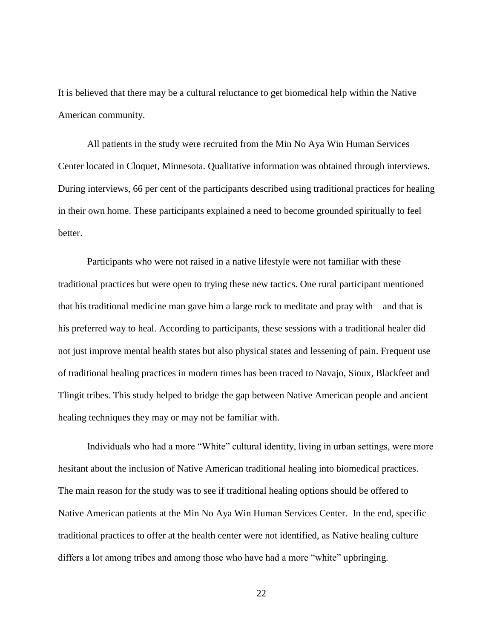It is believed that there may be a cultural reluctance to get biomedical help within the Native American community.

All patients in the study were recruited from the Min No Aya Win Human Services Center located in Cloquet, Minnesota. Qualitative information was obtained through interviews. During interviews, 66 per cent of the participants described using traditional practices for healing in their own home. These participants explained a need to become grounded spiritually to feel better.

Participants who were not raised in a native lifestyle were not familiar with these traditional practices but were open to trying these new tactics. One rural participant mentioned that his traditional medicine man gave him a large rock to meditate and pray with – and that is his preferred way to heal. According to participants, these sessions with a traditional healer did not just improve mental health states but also physical states and lessening of pain. Frequent use of traditional healing practices in modern times has been traced to Navajo, Sioux, Blackfeet and Tlingit tribes. This study helped to bridge the gap between Native American people and ancient healing techniques they may or may not be familiar with.

Individuals who had a more "White" cultural identity, living in urban settings, were more hesitant about the inclusion of Native American traditional healing into biomedical practices. The main reason for the study was to see if traditional healing options should be offered to Native American patients at the Min No Aya Win Human Services Center. In the end, specific traditional practices to offer at the health center were not identified, as Native healing culture differs a lot among tribes and among those who have had a more "white" upbringing.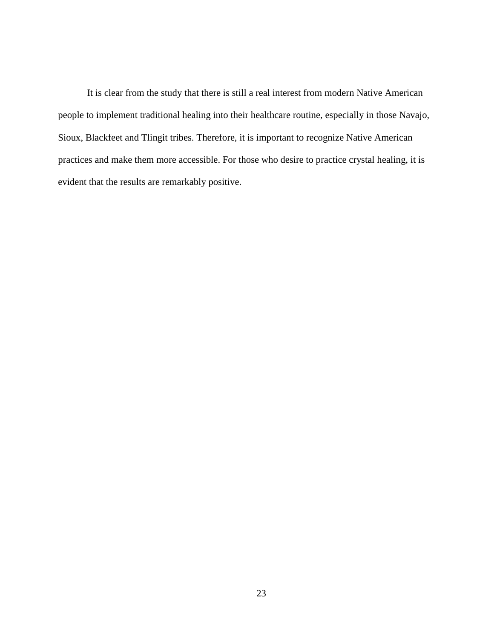It is clear from the study that there is still a real interest from modern Native American people to implement traditional healing into their healthcare routine, especially in those Navajo, Sioux, Blackfeet and Tlingit tribes. Therefore, it is important to recognize Native American practices and make them more accessible. For those who desire to practice crystal healing, it is evident that the results are remarkably positive.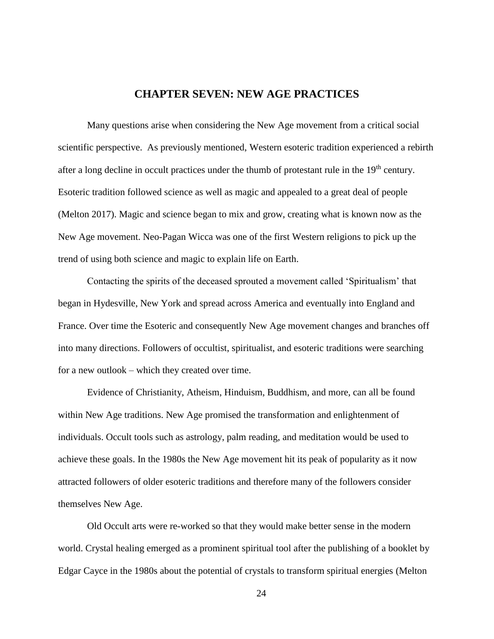## **CHAPTER SEVEN: NEW AGE PRACTICES**

<span id="page-29-0"></span>Many questions arise when considering the New Age movement from a critical social scientific perspective. As previously mentioned, Western esoteric tradition experienced a rebirth after a long decline in occult practices under the thumb of protestant rule in the  $19<sup>th</sup>$  century. Esoteric tradition followed science as well as magic and appealed to a great deal of people (Melton 2017). Magic and science began to mix and grow, creating what is known now as the New Age movement. Neo-Pagan Wicca was one of the first Western religions to pick up the trend of using both science and magic to explain life on Earth.

Contacting the spirits of the deceased sprouted a movement called 'Spiritualism' that began in Hydesville, New York and spread across America and eventually into England and France. Over time the Esoteric and consequently New Age movement changes and branches off into many directions. Followers of occultist, spiritualist, and esoteric traditions were searching for a new outlook – which they created over time.

Evidence of Christianity, Atheism, Hinduism, Buddhism, and more, can all be found within New Age traditions. New Age promised the transformation and enlightenment of individuals. Occult tools such as astrology, palm reading, and meditation would be used to achieve these goals. In the 1980s the New Age movement hit its peak of popularity as it now attracted followers of older esoteric traditions and therefore many of the followers consider themselves New Age.

Old Occult arts were re-worked so that they would make better sense in the modern world. Crystal healing emerged as a prominent spiritual tool after the publishing of a booklet by Edgar Cayce in the 1980s about the potential of crystals to transform spiritual energies (Melton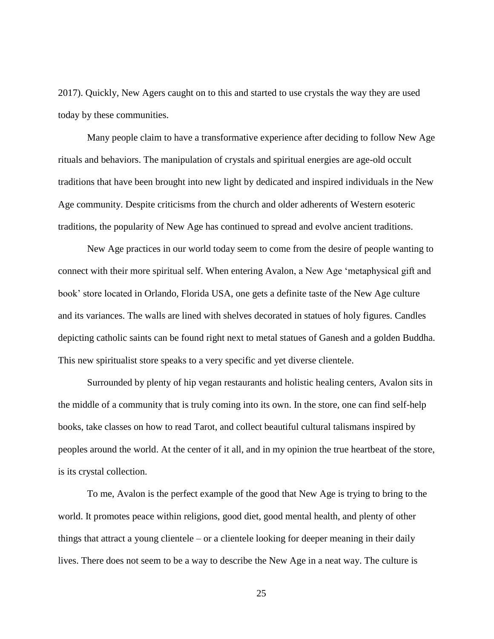2017). Quickly, New Agers caught on to this and started to use crystals the way they are used today by these communities.

Many people claim to have a transformative experience after deciding to follow New Age rituals and behaviors. The manipulation of crystals and spiritual energies are age-old occult traditions that have been brought into new light by dedicated and inspired individuals in the New Age community. Despite criticisms from the church and older adherents of Western esoteric traditions, the popularity of New Age has continued to spread and evolve ancient traditions.

New Age practices in our world today seem to come from the desire of people wanting to connect with their more spiritual self. When entering Avalon, a New Age 'metaphysical gift and book' store located in Orlando, Florida USA, one gets a definite taste of the New Age culture and its variances. The walls are lined with shelves decorated in statues of holy figures. Candles depicting catholic saints can be found right next to metal statues of Ganesh and a golden Buddha. This new spiritualist store speaks to a very specific and yet diverse clientele.

Surrounded by plenty of hip vegan restaurants and holistic healing centers, Avalon sits in the middle of a community that is truly coming into its own. In the store, one can find self-help books, take classes on how to read Tarot, and collect beautiful cultural talismans inspired by peoples around the world. At the center of it all, and in my opinion the true heartbeat of the store, is its crystal collection.

To me, Avalon is the perfect example of the good that New Age is trying to bring to the world. It promotes peace within religions, good diet, good mental health, and plenty of other things that attract a young clientele – or a clientele looking for deeper meaning in their daily lives. There does not seem to be a way to describe the New Age in a neat way. The culture is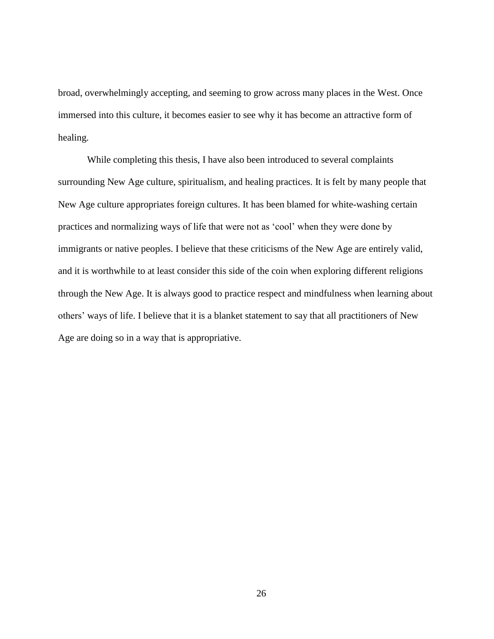broad, overwhelmingly accepting, and seeming to grow across many places in the West. Once immersed into this culture, it becomes easier to see why it has become an attractive form of healing.

While completing this thesis, I have also been introduced to several complaints surrounding New Age culture, spiritualism, and healing practices. It is felt by many people that New Age culture appropriates foreign cultures. It has been blamed for white-washing certain practices and normalizing ways of life that were not as 'cool' when they were done by immigrants or native peoples. I believe that these criticisms of the New Age are entirely valid, and it is worthwhile to at least consider this side of the coin when exploring different religions through the New Age. It is always good to practice respect and mindfulness when learning about others' ways of life. I believe that it is a blanket statement to say that all practitioners of New Age are doing so in a way that is appropriative.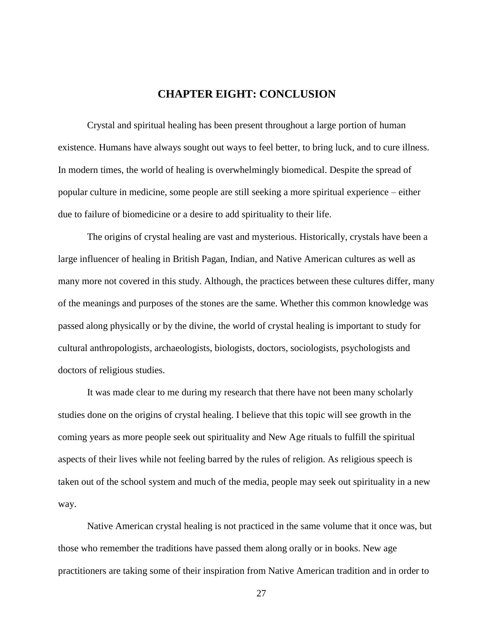## **CHAPTER EIGHT: CONCLUSION**

<span id="page-32-0"></span>Crystal and spiritual healing has been present throughout a large portion of human existence. Humans have always sought out ways to feel better, to bring luck, and to cure illness. In modern times, the world of healing is overwhelmingly biomedical. Despite the spread of popular culture in medicine, some people are still seeking a more spiritual experience – either due to failure of biomedicine or a desire to add spirituality to their life.

The origins of crystal healing are vast and mysterious. Historically, crystals have been a large influencer of healing in British Pagan, Indian, and Native American cultures as well as many more not covered in this study. Although, the practices between these cultures differ, many of the meanings and purposes of the stones are the same. Whether this common knowledge was passed along physically or by the divine, the world of crystal healing is important to study for cultural anthropologists, archaeologists, biologists, doctors, sociologists, psychologists and doctors of religious studies.

It was made clear to me during my research that there have not been many scholarly studies done on the origins of crystal healing. I believe that this topic will see growth in the coming years as more people seek out spirituality and New Age rituals to fulfill the spiritual aspects of their lives while not feeling barred by the rules of religion. As religious speech is taken out of the school system and much of the media, people may seek out spirituality in a new way.

Native American crystal healing is not practiced in the same volume that it once was, but those who remember the traditions have passed them along orally or in books. New age practitioners are taking some of their inspiration from Native American tradition and in order to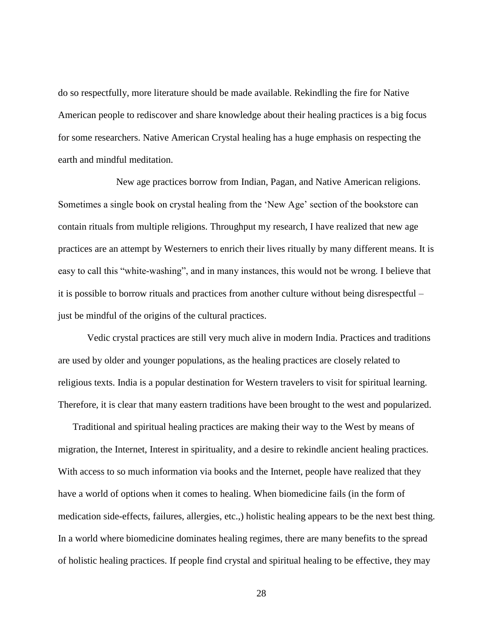do so respectfully, more literature should be made available. Rekindling the fire for Native American people to rediscover and share knowledge about their healing practices is a big focus for some researchers. Native American Crystal healing has a huge emphasis on respecting the earth and mindful meditation.

New age practices borrow from Indian, Pagan, and Native American religions. Sometimes a single book on crystal healing from the 'New Age' section of the bookstore can contain rituals from multiple religions. Throughput my research, I have realized that new age practices are an attempt by Westerners to enrich their lives ritually by many different means. It is easy to call this "white-washing", and in many instances, this would not be wrong. I believe that it is possible to borrow rituals and practices from another culture without being disrespectful – just be mindful of the origins of the cultural practices.

Vedic crystal practices are still very much alive in modern India. Practices and traditions are used by older and younger populations, as the healing practices are closely related to religious texts. India is a popular destination for Western travelers to visit for spiritual learning. Therefore, it is clear that many eastern traditions have been brought to the west and popularized.

Traditional and spiritual healing practices are making their way to the West by means of migration, the Internet, Interest in spirituality, and a desire to rekindle ancient healing practices. With access to so much information via books and the Internet, people have realized that they have a world of options when it comes to healing. When biomedicine fails (in the form of medication side-effects, failures, allergies, etc.,) holistic healing appears to be the next best thing. In a world where biomedicine dominates healing regimes, there are many benefits to the spread of holistic healing practices. If people find crystal and spiritual healing to be effective, they may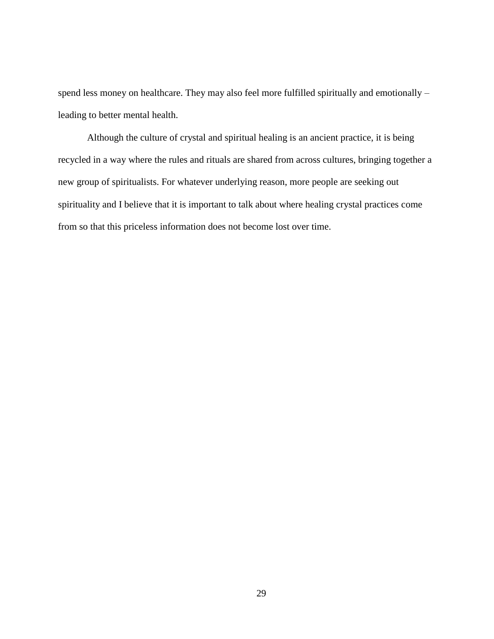spend less money on healthcare. They may also feel more fulfilled spiritually and emotionally – leading to better mental health.

Although the culture of crystal and spiritual healing is an ancient practice, it is being recycled in a way where the rules and rituals are shared from across cultures, bringing together a new group of spiritualists. For whatever underlying reason, more people are seeking out spirituality and I believe that it is important to talk about where healing crystal practices come from so that this priceless information does not become lost over time.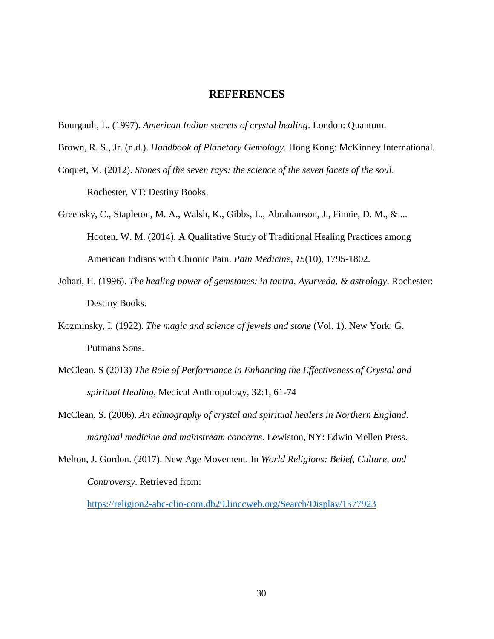#### **REFERENCES**

- <span id="page-35-0"></span>Bourgault, L. (1997). *American Indian secrets of crystal healing*. London: Quantum.
- Brown, R. S., Jr. (n.d.). *Handbook of Planetary Gemology*. Hong Kong: McKinney International.
- Coquet, M. (2012). *Stones of the seven rays: the science of the seven facets of the soul*. Rochester, VT: Destiny Books.
- Greensky, C., Stapleton, M. A., Walsh, K., Gibbs, L., Abrahamson, J., Finnie, D. M., & ... Hooten, W. M. (2014). A Qualitative Study of Traditional Healing Practices among American Indians with Chronic Pain. *Pain Medicine*, *15*(10), 1795-1802.
- Johari, H. (1996). *The healing power of gemstones: in tantra, Ayurveda, & astrology*. Rochester: Destiny Books.
- Kozminsky, I. (1922). *The magic and science of jewels and stone* (Vol. 1). New York: G. Putmans Sons.
- McClean, S (2013) *The Role of Performance in Enhancing the Effectiveness of Crystal and spiritual Healing*, Medical Anthropology, 32:1, 61-74
- McClean, S. (2006). *An ethnography of crystal and spiritual healers in Northern England: marginal medicine and mainstream concerns*. Lewiston, NY: Edwin Mellen Press.
- Melton, J. Gordon. (2017). New Age Movement. In *World Religions: Belief, Culture, and Controversy*. Retrieved from:

<https://religion2-abc-clio-com.db29.linccweb.org/Search/Display/1577923>